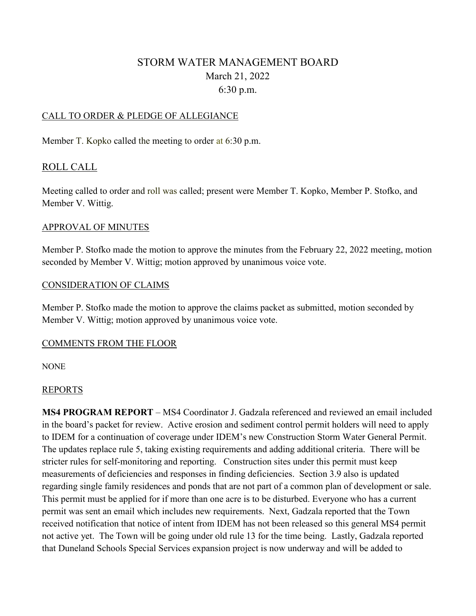# STORM WATER MANAGEMENT BOARD March 21, 2022 6:30 p.m.

### CALL TO ORDER & PLEDGE OF ALLEGIANCE

Member T. Kopko called the meeting to order at 6:30 p.m.

### ROLL CALL

Meeting called to order and roll was called; present were Member T. Kopko, Member P. Stofko, and Member V. Wittig.

#### APPROVAL OF MINUTES

Member P. Stofko made the motion to approve the minutes from the February 22, 2022 meeting, motion seconded by Member V. Wittig; motion approved by unanimous voice vote.

#### CONSIDERATION OF CLAIMS

Member P. Stofko made the motion to approve the claims packet as submitted, motion seconded by Member V. Wittig; motion approved by unanimous voice vote.

#### COMMENTS FROM THE FLOOR

#### **NONE**

#### REPORTS

**MS4 PROGRAM REPORT** – MS4 Coordinator J. Gadzala referenced and reviewed an email included in the board's packet for review. Active erosion and sediment control permit holders will need to apply to IDEM for a continuation of coverage under IDEM's new Construction Storm Water General Permit. The updates replace rule 5, taking existing requirements and adding additional criteria. There will be stricter rules for self-monitoring and reporting. Construction sites under this permit must keep measurements of deficiencies and responses in finding deficiencies. Section 3.9 also is updated regarding single family residences and ponds that are not part of a common plan of development or sale. This permit must be applied for if more than one acre is to be disturbed. Everyone who has a current permit was sent an email which includes new requirements. Next, Gadzala reported that the Town received notification that notice of intent from IDEM has not been released so this general MS4 permit not active yet. The Town will be going under old rule 13 for the time being. Lastly, Gadzala reported that Duneland Schools Special Services expansion project is now underway and will be added to